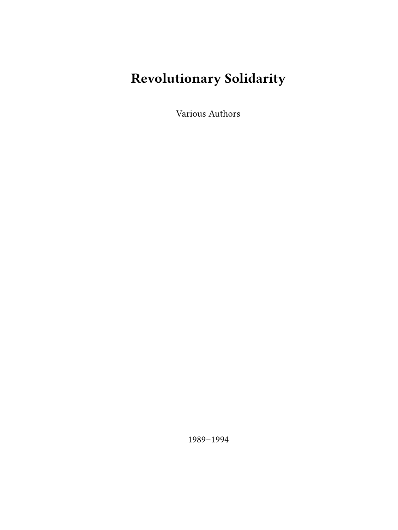# **Revolutionary Solidarity**

Various Authors

1989–1994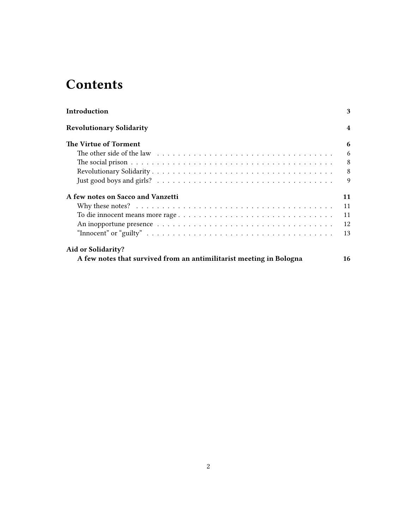## **Contents**

| Introduction                                                                                                             | 3  |
|--------------------------------------------------------------------------------------------------------------------------|----|
| <b>Revolutionary Solidarity</b>                                                                                          | 4  |
| The Virtue of Torment                                                                                                    | 6  |
|                                                                                                                          | 6  |
|                                                                                                                          | 8  |
|                                                                                                                          | 8  |
|                                                                                                                          | 9  |
| A few notes on Sacco and Vanzetti                                                                                        | 11 |
|                                                                                                                          | 11 |
| To die innocent means more rage                                                                                          | 11 |
|                                                                                                                          | 12 |
| "Innocent" or "guilty" $\dots \dots \dots \dots \dots \dots \dots \dots \dots \dots \dots \dots \dots \dots \dots \dots$ | 13 |
| Aid or Solidarity?                                                                                                       |    |
| A few notes that survived from an antimilitarist meeting in Bologna                                                      | 16 |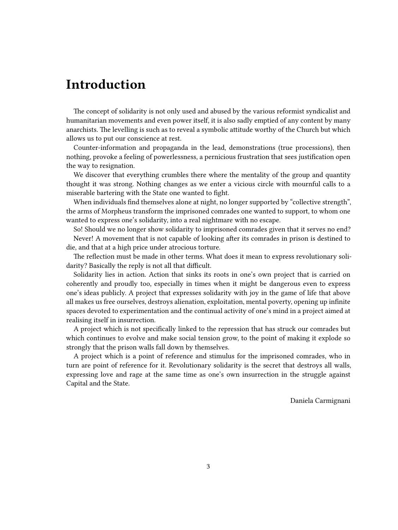### <span id="page-2-0"></span>**Introduction**

The concept of solidarity is not only used and abused by the various reformist syndicalist and humanitarian movements and even power itself, it is also sadly emptied of any content by many anarchists. The levelling is such as to reveal a symbolic attitude worthy of the Church but which allows us to put our conscience at rest.

Counter-information and propaganda in the lead, demonstrations (true processions), then nothing, provoke a feeling of powerlessness, a pernicious frustration that sees justification open the way to resignation.

We discover that everything crumbles there where the mentality of the group and quantity thought it was strong. Nothing changes as we enter a vicious circle with mournful calls to a miserable bartering with the State one wanted to fight.

When individuals find themselves alone at night, no longer supported by "collective strength", the arms of Morpheus transform the imprisoned comrades one wanted to support, to whom one wanted to express one's solidarity, into a real nightmare with no escape.

So! Should we no longer show solidarity to imprisoned comrades given that it serves no end? Never! A movement that is not capable of looking after its comrades in prison is destined to die, and that at a high price under atrocious torture.

The reflection must be made in other terms. What does it mean to express revolutionary solidarity? Basically the reply is not all that difficult.

Solidarity lies in action. Action that sinks its roots in one's own project that is carried on coherently and proudly too, especially in times when it might be dangerous even to express one's ideas publicly. A project that expresses solidarity with joy in the game of life that above all makes us free ourselves, destroys alienation, exploitation, mental poverty, opening up infinite spaces devoted to experimentation and the continual activity of one's mind in a project aimed at realising itself in insurrection.

A project which is not specifically linked to the repression that has struck our comrades but which continues to evolve and make social tension grow, to the point of making it explode so strongly that the prison walls fall down by themselves.

A project which is a point of reference and stimulus for the imprisoned comrades, who in turn are point of reference for it. Revolutionary solidarity is the secret that destroys all walls, expressing love and rage at the same time as one's own insurrection in the struggle against Capital and the State.

Daniela Carmignani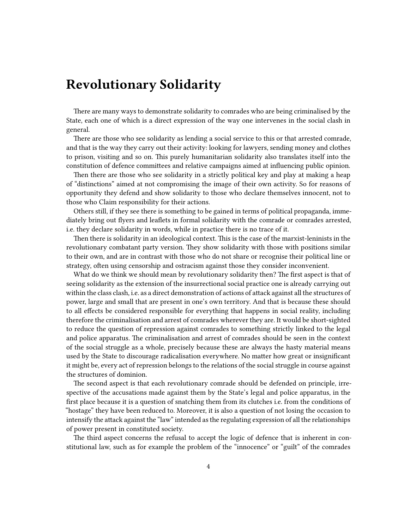### <span id="page-3-0"></span>**Revolutionary Solidarity**

There are many ways to demonstrate solidarity to comrades who are being criminalised by the State, each one of which is a direct expression of the way one intervenes in the social clash in general.

There are those who see solidarity as lending a social service to this or that arrested comrade, and that is the way they carry out their activity: looking for lawyers, sending money and clothes to prison, visiting and so on. This purely humanitarian solidarity also translates itself into the constitution of defence committees and relative campaigns aimed at influencing public opinion.

Then there are those who see solidarity in a strictly political key and play at making a heap of "distinctions" aimed at not compromising the image of their own activity. So for reasons of opportunity they defend and show solidarity to those who declare themselves innocent, not to those who Claim responsibility for their actions.

Others still, if they see there is something to be gained in terms of political propaganda, immediately bring out flyers and leaflets in formal solidarity with the comrade or comrades arrested, i.e. they declare solidarity in words, while in practice there is no trace of it.

Then there is solidarity in an ideological context. This is the case of the marxist-leninists in the revolutionary combatant party version. They show solidarity with those with positions similar to their own, and are in contrast with those who do not share or recognise their political line or strategy, often using censorship and ostracism against those they consider inconvenient.

What do we think we should mean by revolutionary solidarity then? The first aspect is that of seeing solidarity as the extension of the insurrectional social practice one is already carrying out within the class clash, i.e. as a direct demonstration of actions of attack against all the structures of power, large and small that are present in one's own territory. And that is because these should to all effects be considered responsible for everything that happens in social reality, including therefore the criminalisation and arrest of comrades wherever they are. It would be short-sighted to reduce the question of repression against comrades to something strictly linked to the legal and police apparatus. The criminalisation and arrest of comrades should be seen in the context of the social struggle as a whole, precisely because these are always the hasty material means used by the State to discourage radicalisation everywhere. No matter how great or insignificant it might be, every act of repression belongs to the relations of the social struggle in course against the structures of dominion.

The second aspect is that each revolutionary comrade should be defended on principle, irrespective of the accusations made against them by the State's legal and police apparatus, in the first place because it is a question of snatching them from its clutches i.e. from the conditions of "hostage" they have been reduced to. Moreover, it is also a question of not losing the occasion to intensify the attack against the "law" intended as the regulating expression of all the relationships of power present in constituted society.

The third aspect concerns the refusal to accept the logic of defence that is inherent in constitutional law, such as for example the problem of the "innocence" or "guilt" of the comrades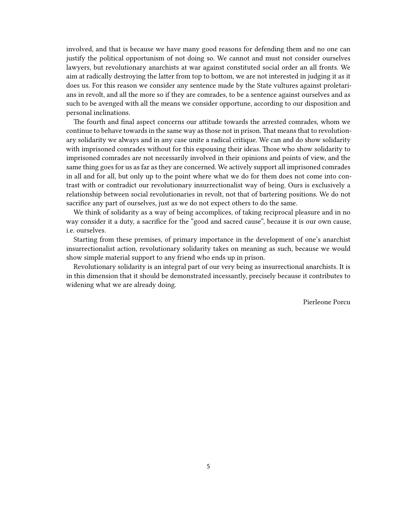involved, and that is because we have many good reasons for defending them and no one can justify the political opportunism of not doing so. We cannot and must not consider ourselves lawyers, but revolutionary anarchists at war against constituted social order an all fronts. We aim at radically destroying the latter from top to bottom, we are not interested in judging it as it does us. For this reason we consider any sentence made by the State vultures against proletarians in revolt, and all the more so if they are comrades, to be a sentence against ourselves and as such to be avenged with all the means we consider opportune, according to our disposition and personal inclinations.

The fourth and final aspect concerns our attitude towards the arrested comrades, whom we continue to behave towards in the same way as those not in prison. That means that to revolutionary solidarity we always and in any case unite a radical critique. We can and do show solidarity with imprisoned comrades without for this espousing their ideas. Those who show solidarity to imprisoned comrades are not necessarily involved in their opinions and points of view, and the same thing goes for us as far as they are concerned. We actively support all imprisoned comrades in all and for all, but only up to the point where what we do for them does not come into contrast with or contradict our revolutionary insurrectionalist way of being. Ours is exclusively a relationship between social revolutionaries in revolt, not that of bartering positions. We do not sacrifice any part of ourselves, just as we do not expect others to do the same.

We think of solidarity as a way of being accomplices, of taking reciprocal pleasure and in no way consider it a duty, a sacrifice for the "good and sacred cause", because it is our own cause, i.e. ourselves.

Starting from these premises, of primary importance in the development of one's anarchist insurrectionalist action, revolutionary solidarity takes on meaning as such, because we would show simple material support to any friend who ends up in prison.

Revolutionary solidarity is an integral part of our very being as insurrectional anarchists. It is in this dimension that it should be demonstrated incessantly, precisely because it contributes to widening what we are already doing.

Pierleone Porcu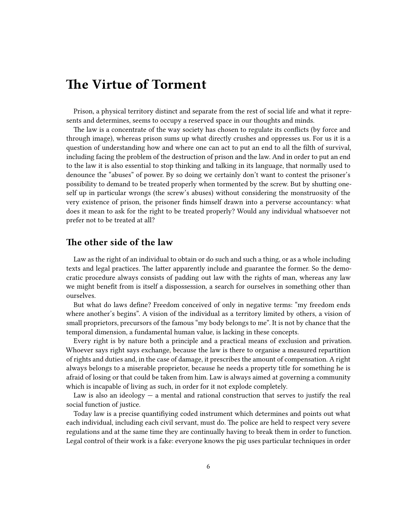### <span id="page-5-0"></span>**The Virtue of Torment**

Prison, a physical territory distinct and separate from the rest of social life and what it represents and determines, seems to occupy a reserved space in our thoughts and minds.

The law is a concentrate of the way society has chosen to regulate its conflicts (by force and through image), whereas prison sums up what directly crushes and oppresses us. For us it is a question of understanding how and where one can act to put an end to all the filth of survival, including facing the problem of the destruction of prison and the law. And in order to put an end to the law it is also essential to stop thinking and talking in its language, that normally used to denounce the "abuses" of power. By so doing we certainly don't want to contest the prisoner's possibility to demand to be treated properly when tormented by the screw. But by shutting oneself up in particular wrongs (the screw's abuses) without considering the monstruosity of the very existence of prison, the prisoner finds himself drawn into a perverse accountancy: what does it mean to ask for the right to be treated properly? Would any individual whatsoever not prefer not to be treated at all?

#### <span id="page-5-1"></span>**The other side of the law**

Law as the right of an individual to obtain or do such and such a thing, or as a whole including texts and legal practices. The latter apparently include and guarantee the former. So the democratic procedure always consists of padding out law with the rights of man, whereas any law we might benefit from is itself a dispossession, a search for ourselves in something other than ourselves.

But what do laws define? Freedom conceived of only in negative terms: "my freedom ends where another's begins". A vision of the individual as a territory limited by others, a vision of small proprietors, precursors of the famous "my body belongs to me". It is not by chance that the temporal dimension, a fundamental human value, is lacking in these concepts.

Every right is by nature both a principle and a practical means of exclusion and privation. Whoever says right says exchange, because the law is there to organise a measured repartition of rights and duties and, in the case of damage, it prescribes the amount of compensation. A right always belongs to a miserable proprietor, because he needs a property title for something he is afraid of losing or that could be taken from him. Law is always aimed at governing a community which is incapable of living as such, in order for it not explode completely.

Law is also an ideology  $-$  a mental and rational construction that serves to justify the real social function of justice.

Today law is a precise quantifiying coded instrument which determines and points out what each individual, including each civil servant, must do. The police are held to respect very severe regulations and at the same time they are continually having to break them in order to function. Legal control of their work is a fake: everyone knows the pig uses particular techniques in order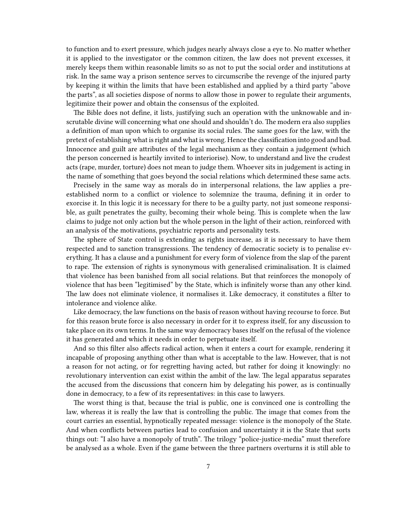to function and to exert pressure, which judges nearly always close a eye to. No matter whether it is applied to the investigator or the common citizen, the law does not prevent excesses, it merely keeps them within reasonable limits so as not to put the social order and institutions at risk. In the same way a prison sentence serves to circumscribe the revenge of the injured party by keeping it within the limits that have been established and applied by a third party "above the parts", as all societies dispose of norms to allow those in power to regulate their arguments, legitimize their power and obtain the consensus of the exploited.

The Bible does not define, it lists, justifying such an operation with the unknowable and inscrutable divine will concerning what one should and shouldn't do. The modern era also supplies a definition of man upon which to organise its social rules. The same goes for the law, with the pretext of establishing what is right and what is wrong. Hence the classification into good and bad. Innocence and guilt are attributes of the legal mechanism as they contain a judgement (which the person concerned is heartily invited to interiorise). Now, to understand and live the crudest acts (rape, murder, torture) does not mean to judge them. Whoever sits in judgement is acting in the name of something that goes beyond the social relations which determined these same acts.

Precisely in the same way as morals do in interpersonal relations, the law applies a preestablished norm to a conflict or violence to solemnize the trauma, defining it in order to exorcise it. In this logic it is necessary for there to be a guilty party, not just someone responsible, as guilt penetrates the guilty, becoming their whole being. This is complete when the law claims to judge not only action but the whole person in the light of their action, reinforced with an analysis of the motivations, psychiatric reports and personality tests.

The sphere of State control is extending as rights increase, as it is necessary to have them respected and to sanction transgressions. The tendency of democratic society is to penalise everything. It has a clause and a punishment for every form of violence from the slap of the parent to rape. The extension of rights is synonymous with generalised criminalisation. It is claimed that violence has been banished from all social relations. But that reinforces the monopoly of violence that has been "legitimised" by the State, which is infinitely worse than any other kind. The law does not eliminate violence, it normalises it. Like democracy, it constitutes a filter to intolerance and violence alike.

Like democracy, the law functions on the basis of reason without having recourse to force. But for this reason brute force is also necessary in order for it to express itself, for any discussion to take place on its own terms. In the same way democracy bases itself on the refusal of the violence it has generated and which it needs in order to perpetuate itself.

And so this filter also affects radical action, when it enters a court for example, rendering it incapable of proposing anything other than what is acceptable to the law. However, that is not a reason for not acting, or for regretting having acted, but rather for doing it knowingly: no revolutionary intervention can exist within the ambit of the law. The legal apparatus separates the accused from the discussions that concern him by delegating his power, as is continually done in democracy, to a few of its representatives: in this case to lawyers.

The worst thing is that, because the trial is public, one is convinced one is controlling the law, whereas it is really the law that is controlling the public. The image that comes from the court carries an essential, hypnotically repeated message: violence is the monopoly of the State. And when conflicts between parties lead to confusion and uncertainty it is the State that sorts things out: "I also have a monopoly of truth". The trilogy "police-justice-media" must therefore be analysed as a whole. Even if the game between the three partners overturns it is still able to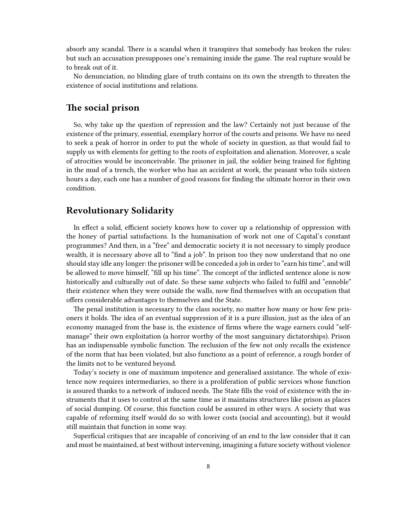absorb any scandal. There is a scandal when it transpires that somebody has broken the rules: but such an accusation presupposes one's remaining inside the game. The real rupture would be to break out of it.

No denunciation, no blinding glare of truth contains on its own the strength to threaten the existence of social institutions and relations.

#### <span id="page-7-0"></span>**The social prison**

So, why take up the question of repression and the law? Certainly not just because of the existence of the primary, essential, exemplary horror of the courts and prisons. We have no need to seek a peak of horror in order to put the whole of society in question, as that would fail to supply us with elements for getting to the roots of exploitation and alienation. Moreover, a scale of atrocities would be inconceivable. The prisoner in jail, the soldier being trained for fighting in the mud of a trench, the worker who has an accident at work, the peasant who toils sixteen hours a day, each one has a number of good reasons for finding the ultimate horror in their own condition.

#### <span id="page-7-1"></span>**Revolutionary Solidarity**

In effect a solid, efficient society knows how to cover up a relationship of oppression with the honey of partial satisfactions. Is the humanisation of work not one of Capital's constant programmes? And then, in a "free" and democratic society it is not necessary to simply produce wealth, it is necessary above all to "find a job". In prison too they now understand that no one should stay idle any longer: the prisoner will be conceded a job in order to "earn his time", and will be allowed to move himself, "fill up his time". The concept of the inflicted sentence alone is now historically and culturally out of date. So these same subjects who failed to fulfil and "ennoble" their existence when they were outside the walls, now find themselves with an occupation that offers considerable advantages to themselves and the State.

The penal institution is necessary to the class society, no matter how many or how few prisoners it holds. The idea of an eventual suppression of it is a pure illusion, just as the idea of an economy managed from the base is, the existence of firms where the wage earners could "selfmanage" their own exploitation (a horror worthy of the most sanguinary dictatorships). Prison has an indispensable symbolic function. The reclusion of the few not only recalls the existence of the norm that has been violated, but also functions as a point of reference, a rough border of the limits not to be ventured beyond.

Today's society is one of maximum impotence and generalised assistance. The whole of existence now requires intermediaries, so there is a proliferation of public services whose function is assured thanks to a network of induced needs. The State fills the void of existence with the instruments that it uses to control at the same time as it maintains structures like prison as places of social dumping. Of course, this function could be assured in other ways. A society that was capable of reforming itself would do so with lower costs (social and accounting), but it would still maintain that function in some way.

Superficial critiques that are incapable of conceiving of an end to the law consider that it can and must be maintained, at best without intervening, imagining a future society without violence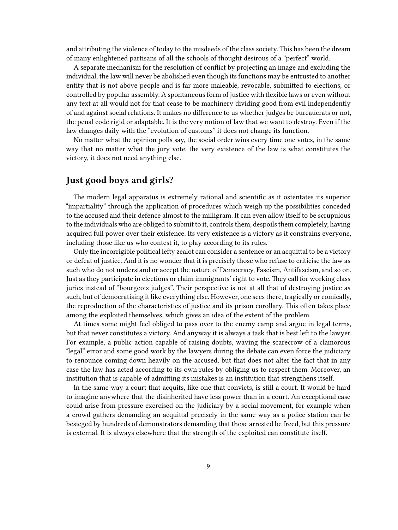and attributing the violence of today to the misdeeds of the class society. This has been the dream of many enlightened partisans of all the schools of thought desirous of a "perfect" world.

A separate mechanism for the resolution of conflict by projecting an image and excluding the individual, the law will never be abolished even though its functions may be entrusted to another entity that is not above people and is far more maleable, revocable, submitted to elections, or controlled by popular assembly. A spontaneous form of justice with flexible laws or even without any text at all would not for that cease to be machinery dividing good from evil independently of and against social relations. It makes no difference to us whether judges be bureaucrats or not, the penal code rigid or adaptable. It is the very notion of law that we want to destroy. Even if the law changes daily with the "evolution of customs" it does not change its function.

No matter what the opinion polls say, the social order wins every time one votes, in the same way that no matter what the jury vote, the very existence of the law is what constitutes the victory, it does not need anything else.

#### <span id="page-8-0"></span>**Just good boys and girls?**

The modern legal apparatus is extremely rational and scientific as it ostentates its superior "impartiality" through the application of procedures which weigh up the possibilities conceded to the accused and their defence almost to the milligram. It can even allow itself to be scrupulous to the individuals who are obliged to submit to it, controls them, despoils them completely, having acquired full power over their existence. Its very existence is a victory as it constrains everyone, including those like us who contest it, to play according to its rules.

Only the incorrigible political lefty zealot can consider a sentence or an acquittal to be a victory or defeat of justice. And it is no wonder that it is precisely those who refuse to criticise the law as such who do not understand or accept the nature of Democracy, Fascism, Antifascism, and so on. Just as they participate in elections or claim immigrants' right to vote. They call for working class juries instead of "bourgeois judges". Their perspective is not at all that of destroying justice as such, but of democratising it like everything else. However, one sees there, tragically or comically, the reproduction of the characteristics of justice and its prison corollary. This often takes place among the exploited themselves, which gives an idea of the extent of the problem.

At times some might feel obliged to pass over to the enemy camp and argue in legal terms, but that never constitutes a victory. And anyway it is always a task that is best left to the lawyer. For example, a public action capable of raising doubts, waving the scarecrow of a clamorous "legal" error and some good work by the lawyers during the debate can even force the judiciary to renounce coming down heavily on the accused, but that does not alter the fact that in any case the law has acted according to its own rules by obliging us to respect them. Moreover, an institution that is capable of admitting its mistakes is an institution that strengthens itself.

In the same way a court that acquits, like one that convicts, is still a court. It would be hard to imagine anywhere that the disinherited have less power than in a court. An exceptional case could arise from pressure exercised on the judiciary by a social movement, for example when a crowd gathers demanding an acquittal precisely in the same way as a police station can be besieged by hundreds of demonstrators demanding that those arrested be freed, but this pressure is external. It is always elsewhere that the strength of the exploited can constitute itself.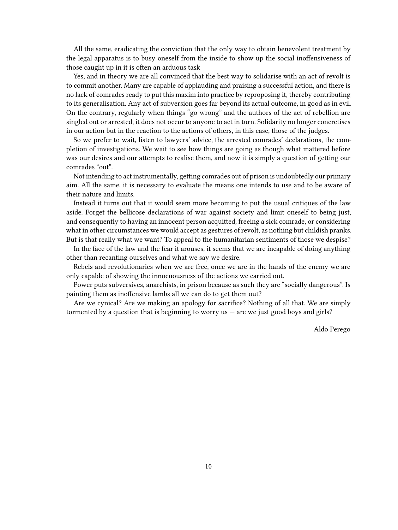All the same, eradicating the conviction that the only way to obtain benevolent treatment by the legal apparatus is to busy oneself from the inside to show up the social inoffensiveness of those caught up in it is often an arduous task

Yes, and in theory we are all convinced that the best way to solidarise with an act of revolt is to commit another. Many are capable of applauding and praising a successful action, and there is no lack of comrades ready to put this maxim into practice by reproposing it, thereby contributing to its generalisation. Any act of subversion goes far beyond its actual outcome, in good as in evil. On the contrary, regularly when things "go wrong" and the authors of the act of rebellion are singled out or arrested, it does not occur to anyone to act in turn. Solidarity no longer concretises in our action but in the reaction to the actions of others, in this case, those of the judges.

So we prefer to wait, listen to lawyers' advice, the arrested comrades' declarations, the completion of investigations. We wait to see how things are going as though what mattered before was our desires and our attempts to realise them, and now it is simply a question of getting our comrades "out".

Not intending to act instrumentally, getting comrades out of prison is undoubtedly our primary aim. All the same, it is necessary to evaluate the means one intends to use and to be aware of their nature and limits.

Instead it turns out that it would seem more becoming to put the usual critiques of the law aside. Forget the bellicose declarations of war against society and limit oneself to being just, and consequently to having an innocent person acquitted, freeing a sick comrade, or considering what in other circumstances we would accept as gestures of revolt, as nothing but childish pranks. But is that really what we want? To appeal to the humanitarian sentiments of those we despise?

In the face of the law and the fear it arouses, it seems that we are incapable of doing anything other than recanting ourselves and what we say we desire.

Rebels and revolutionaries when we are free, once we are in the hands of the enemy we are only capable of showing the innocuousness of the actions we carried out.

Power puts subversives, anarchists, in prison because as such they are "socially dangerous". Is painting them as inoffensive lambs all we can do to get them out?

Are we cynical? Are we making an apology for sacrifice? Nothing of all that. We are simply tormented by a question that is beginning to worry us — are we just good boys and girls?

Aldo Perego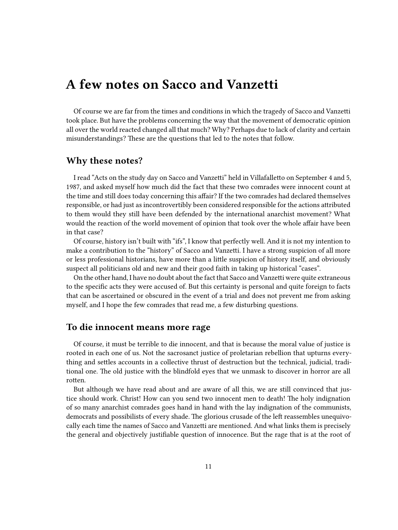### <span id="page-10-0"></span>**A few notes on Sacco and Vanzetti**

Of course we are far from the times and conditions in which the tragedy of Sacco and Vanzetti took place. But have the problems concerning the way that the movement of democratic opinion all over the world reacted changed all that much? Why? Perhaps due to lack of clarity and certain misunderstandings? These are the questions that led to the notes that follow.

#### <span id="page-10-1"></span>**Why these notes?**

I read "Acts on the study day on Sacco and Vanzetti" held in Villafalletto on September 4 and 5, 1987, and asked myself how much did the fact that these two comrades were innocent count at the time and still does today concerning this affair? If the two comrades had declared themselves responsible, or had just as incontrovertibly been considered responsible for the actions attributed to them would they still have been defended by the international anarchist movement? What would the reaction of the world movement of opinion that took over the whole affair have been in that case?

Of course, history isn't built with "ifs", I know that perfectly well. And it is not my intention to make a contribution to the "history" of Sacco and Vanzetti. I have a strong suspicion of all more or less professional historians, have more than a little suspicion of history itself, and obviously suspect all politicians old and new and their good faith in taking up historical "cases".

On the other hand, I have no doubt about the fact that Sacco and Vanzetti were quite extraneous to the specific acts they were accused of. But this certainty is personal and quite foreign to facts that can be ascertained or obscured in the event of a trial and does not prevent me from asking myself, and I hope the few comrades that read me, a few disturbing questions.

#### <span id="page-10-2"></span>**To die innocent means more rage**

Of course, it must be terrible to die innocent, and that is because the moral value of justice is rooted in each one of us. Not the sacrosanct justice of proletarian rebellion that upturns everything and settles accounts in a collective thrust of destruction but the technical, judicial, traditional one. The old justice with the blindfold eyes that we unmask to discover in horror are all rotten.

But although we have read about and are aware of all this, we are still convinced that justice should work. Christ! How can you send two innocent men to death! The holy indignation of so many anarchist comrades goes hand in hand with the lay indignation of the communists, democrats and possibilists of every shade. The glorious crusade of the left reassembles unequivocally each time the names of Sacco and Vanzetti are mentioned. And what links them is precisely the general and objectively justifiable question of innocence. But the rage that is at the root of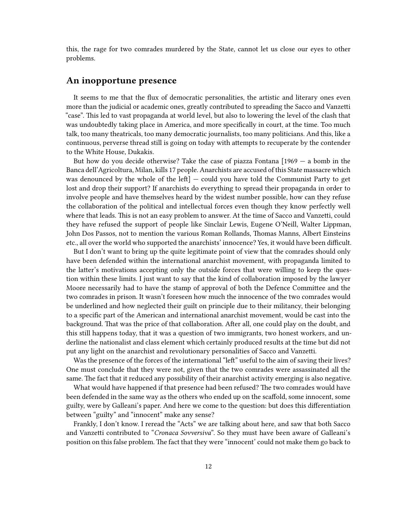this, the rage for two comrades murdered by the State, cannot let us close our eyes to other problems.

#### <span id="page-11-0"></span>**An inopportune presence**

It seems to me that the flux of democratic personalities, the artistic and literary ones even more than the judicial or academic ones, greatly contributed to spreading the Sacco and Vanzetti "case". This led to vast propaganda at world level, but also to lowering the level of the clash that was undoubtedly taking place in America, and more specifically in court, at the time. Too much talk, too many theatricals, too many democratic journalists, too many politicians. And this, like a continuous, perverse thread still is going on today with attempts to recuperate by the contender to the White House, Dukakis.

But how do you decide otherwise? Take the case of piazza Fontana  $[1969 - a$  bomb in the Banca dell'Agricoltura, Milan, kills 17 people. Anarchists are accused of this State massacre which was denounced by the whole of the left] — could you have told the Communist Party to get lost and drop their support? If anarchists do everything to spread their propaganda in order to involve people and have themselves heard by the widest number possible, how can they refuse the collaboration of the political and intellectual forces even though they know perfectly well where that leads. This is not an easy problem to answer. At the time of Sacco and Vanzetti, could they have refused the support of people like Sinclair Lewis, Eugene O'Neill, Walter Lippman, John Dos Passos, not to mention the various Roman Rollands, Thomas Manns, Albert Einsteins etc., all over the world who supported the anarchists' innocence? Yes, it would have been difficult.

But I don't want to bring up the quite legitimate point of view that the comrades should only have been defended within the international anarchist movement, with propaganda limited to the latter's motivations accepting only the outside forces that were willing to keep the question within these limits. I just want to say that the kind of collaboration imposed by the lawyer Moore necessarily had to have the stamp of approval of both the Defence Committee and the two comrades in prison. It wasn't foreseen how much the innocence of the two comrades would be underlined and how neglected their guilt on principle due to their militancy, their belonging to a specific part of the American and international anarchist movement, would be cast into the background. That was the price of that collaboration. After all, one could play on the doubt, and this still happens today, that it was a question of two immigrants, two honest workers, and underline the nationalist and class element which certainly produced results at the time but did not put any light on the anarchist and revolutionary personalities of Sacco and Vanzetti.

Was the presence of the forces of the international "left" useful to the aim of saving their lives? One must conclude that they were not, given that the two comrades were assassinated all the same. The fact that it reduced any possibility of their anarchist activity emerging is also negative.

What would have happened if that presence had been refused? The two comrades would have been defended in the same way as the others who ended up on the scaffold, some innocent, some guilty, were by Galleani's paper. And here we come to the question: but does this differentiation between "guilty" and "innocent" make any sense?

Frankly, I don't know. I reread the "Acts" we are talking about here, and saw that both Sacco and Vanzetti contributed to "*Cronaca Sovversiva*". So they must have been aware of Galleani's position on this false problem. The fact that they were "innocent' could not make them go back to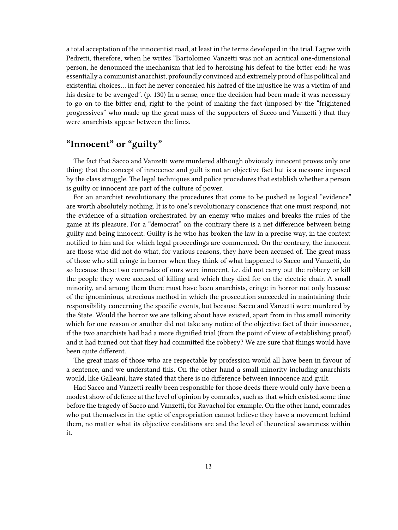a total acceptation of the innocentist road, at least in the terms developed in the trial. I agree with Pedretti, therefore, when he writes "Bartolomeo Vanzetti was not an acritical one-dimensional person, he denounced the mechanism that led to heroising his defeat to the bitter end: he was essentially a communist anarchist, profoundly convinced and extremely proud of his political and existential choices… in fact he never concealed his hatred of the injustice he was a victim of and his desire to be avenged". (p. 130) In a sense, once the decision had been made it was necessary to go on to the bitter end, right to the point of making the fact (imposed by the "frightened progressives" who made up the great mass of the supporters of Sacco and Vanzetti ) that they were anarchists appear between the lines.

#### <span id="page-12-0"></span>**"Innocent" or "guilty"**

The fact that Sacco and Vanzetti were murdered although obviously innocent proves only one thing: that the concept of innocence and guilt is not an objective fact but is a measure imposed by the class struggle. The legal techniques and police procedures that establish whether a person is guilty or innocent are part of the culture of power.

For an anarchist revolutionary the procedures that come to be pushed as logical "evidence" are worth absolutely nothing. It is to one's revolutionary conscience that one must respond, not the evidence of a situation orchestrated by an enemy who makes and breaks the rules of the game at its pleasure. For a "democrat" on the contrary there is a net difference between being guilty and being innocent. Guilty is he who has broken the law in a precise way, in the context notified to him and for which legal proceedings are commenced. On the contrary, the innocent are those who did not do what, for various reasons, they have been accused of. The great mass of those who still cringe in horror when they think of what happened to Sacco and Vanzetti, do so because these two comrades of ours were innocent, i.e. did not carry out the robbery or kill the people they were accused of killing and which they died for on the electric chair. A small minority, and among them there must have been anarchists, cringe in horror not only because of the ignominious, atrocious method in which the prosecution succeeded in maintaining their responsibility concerning the specific events, but because Sacco and Vanzetti were murdered by the State. Would the horror we are talking about have existed, apart from in this small minority which for one reason or another did not take any notice of the objective fact of their innocence, if the two anarchists had had a more dignified trial (from the point of view of establishing proof) and it had turned out that they had committed the robbery? We are sure that things would have been quite different.

The great mass of those who are respectable by profession would all have been in favour of a sentence, and we understand this. On the other hand a small minority including anarchists would, like Galleani, have stated that there is no difference between innocence and guilt.

Had Sacco and Vanzetti really been responsible for those deeds there would only have been a modest show of defence at the level of opinion by comrades, such as that which existed some time before the tragedy of Sacco and Vanzetti, for Ravachol for example. On the other hand, comrades who put themselves in the optic of expropriation cannot believe they have a movement behind them, no matter what its objective conditions are and the level of theoretical awareness within it.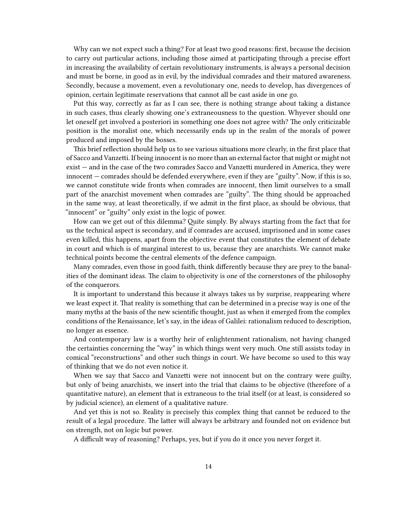Why can we not expect such a thing? For at least two good reasons: first, because the decision to carry out particular actions, including those aimed at participating through a precise effort in increasing the availability of certain revolutionary instruments, is always a personal decision and must be borne, in good as in evil, by the individual comrades and their matured awareness. Secondly, because a movement, even a revolutionary one, needs to develop, has divergences of opinion, certain legitimate reservations that cannot all be cast aside in one go.

Put this way, correctly as far as I can see, there is nothing strange about taking a distance in such cases, thus clearly showing one's extraneousness to the question. Whyever should one let oneself get involved a posteriori in something one does not agree with? The only criticizable position is the moralist one, which necessarily ends up in the realm of the morals of power produced and imposed by the bosses.

This brief reflection should help us to see various situations more clearly, in the first place that of Sacco and Vanzetti. If being innocent is no more than an external factor that might or might not exist — and in the case of the two comrades Sacco and Vanzetti murdered in America, they were innocent — comrades should be defended everywhere, even if they are "guilty". Now, if this is so, we cannot constitute wide fronts when comrades are innocent, then limit ourselves to a small part of the anarchist movement when comrades are "guilty". The thing should be approached in the same way, at least theoretically, if we admit in the first place, as should be obvious, that "innocent" or "guilty" only exist in the logic of power.

How can we get out of this dilemma? Quite simply. By always starting from the fact that for us the technical aspect is secondary, and if comrades are accused, imprisoned and in some cases even killed, this happens, apart from the objective event that constitutes the element of debate in court and which is of marginal interest to us, because they are anarchists. We cannot make technical points become the central elements of the defence campaign.

Many comrades, even those in good faith, think differently because they are prey to the banalities of the dominant ideas. The claim to objectivity is one of the cornerstones of the philosophy of the conquerors.

It is important to understand this because it always takes us by surprise, reappearing where we least expect it. That reality is something that can be determined in a precise way is one of the many myths at the basis of the new scientific thought, just as when it emerged from the complex conditions of the Renaissance, let's say, in the ideas of Galilei: rationalism reduced to description, no longer as essence.

And contemporary law is a worthy heir of enlightenment rationalism, not having changed the certainties concerning the "way" in which things went very much. One still assists today in comical "reconstructions" and other such things in court. We have become so used to this way of thinking that we do not even notice it.

When we say that Sacco and Vanzetti were not innocent but on the contrary were guilty, but only of being anarchists, we insert into the trial that claims to be objective (therefore of a quantitative nature), an element that is extraneous to the trial itself (or at least, is considered so by judicial science), an element of a qualitative nature.

And yet this is not so. Reality is precisely this complex thing that cannot be reduced to the result of a legal procedure. The latter will always be arbitrary and founded not on evidence but on strength, not on logic but power.

A difficult way of reasoning? Perhaps, yes, but if you do it once you never forget it.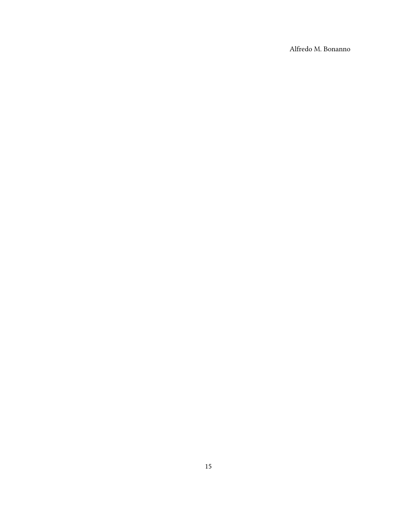Alfredo M. Bonanno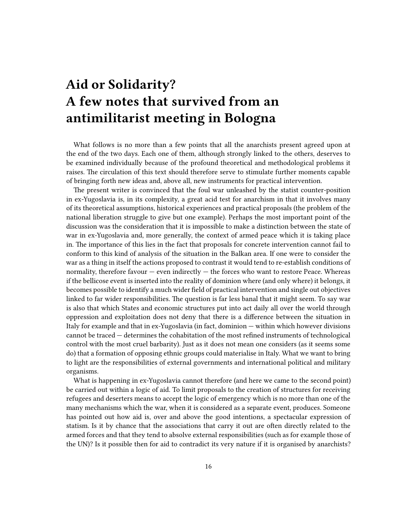# <span id="page-15-0"></span>**Aid or Solidarity? A few notes that survived from an antimilitarist meeting in Bologna**

What follows is no more than a few points that all the anarchists present agreed upon at the end of the two days. Each one of them, although strongly linked to the others, deserves to be examined individually because of the profound theoretical and methodological problems it raises. The circulation of this text should therefore serve to stimulate further moments capable of bringing forth new ideas and, above all, new instruments for practical intervention.

The present writer is convinced that the foul war unleashed by the statist counter-position in ex-Yugoslavia is, in its complexity, a great acid test for anarchism in that it involves many of its theoretical assumptions, historical experiences and practical proposals (the problem of the national liberation struggle to give but one example). Perhaps the most important point of the discussion was the consideration that it is impossible to make a distinction between the state of war in ex-Yugoslavia and, more generally, the context of armed peace which it is taking place in. The importance of this lies in the fact that proposals for concrete intervention cannot fail to conform to this kind of analysis of the situation in the Balkan area. If one were to consider the war as a thing in itself the actions proposed to contrast it would tend to re-establish conditions of normality, therefore favour — even indirectly — the forces who want to restore Peace. Whereas if the bellicose event is inserted into the reality of dominion where (and only where) it belongs, it becomes possible to identify a much wider field of practical intervention and single out objectives linked to far wider responsibilities. The question is far less banal that it might seem. To say war is also that which States and economic structures put into act daily all over the world through oppression and exploitation does not deny that there is a difference between the situation in Italy for example and that in ex-Yugoslavia (in fact, dominion — within which however divisions cannot be traced — determines the cohabitation of the most refined instruments of technological control with the most cruel barbarity). Just as it does not mean one considers (as it seems some do) that a formation of opposing ethnic groups could materialise in Italy. What we want to bring to light are the responsibilities of external governments and international political and military organisms.

What is happening in ex-Yugoslavia cannot therefore (and here we came to the second point) be carried out within a logic of aid. To limit proposals to the creation of structures for receiving refugees and deserters means to accept the logic of emergency which is no more than one of the many mechanisms which the war, when it is considered as a separate event, produces. Someone has pointed out how aid is, over and above the good intentions, a spectacular expression of statism. Is it by chance that the associations that carry it out are often directly related to the armed forces and that they tend to absolve external responsibilities (such as for example those of the UN)? Is it possible then for aid to contradict its very nature if it is organised by anarchists?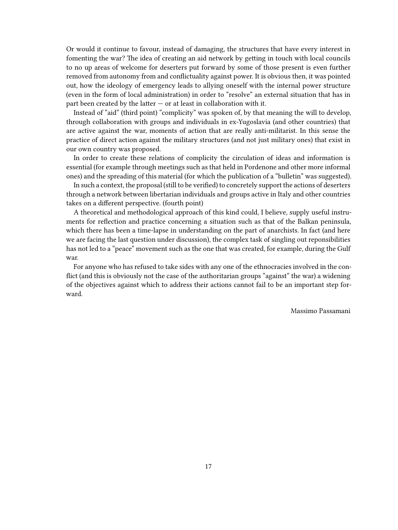Or would it continue to favour, instead of damaging, the structures that have every interest in fomenting the war? The idea of creating an aid network by getting in touch with local councils to no up areas of welcome for deserters put forward by some of those present is even further removed from autonomy from and conflictuality against power. It is obvious then, it was pointed out, how the ideology of emergency leads to allying oneself with the internal power structure (even in the form of local administration) in order to "resolve" an external situation that has in part been created by the latter  $-$  or at least in collaboration with it.

Instead of "aid" (third point) "complicity" was spoken of, by that meaning the will to develop, through collaboration with groups and individuals in ex-Yugoslavia (and other countries) that are active against the war, moments of action that are really anti-militarist. In this sense the practice of direct action against the military structures (and not just military ones) that exist in our own country was proposed.

In order to create these relations of complicity the circulation of ideas and information is essential (for example through meetings such as that held in Pordenone and other more informal ones) and the spreading of this material (for which the publication of a "bulletin" was suggested).

In such a context, the proposal (still to be verified) to concretely support the actions of deserters through a network between libertarian individuals and groups active in Italy and other countries takes on a different perspective. (fourth point)

A theoretical and methodological approach of this kind could, I believe, supply useful instruments for reflection and practice concerning a situation such as that of the Balkan peninsula, which there has been a time-lapse in understanding on the part of anarchists. In fact (and here we are facing the last question under discussion), the complex task of singling out reponsibilities has not led to a "peace" movement such as the one that was created, for example, during the Gulf war.

For anyone who has refused to take sides with any one of the ethnocracies involved in the conflict (and this is obviously not the case of the authoritarian groups "against" the war) a widening of the objectives against which to address their actions cannot fail to be an important step forward.

Massimo Passamani